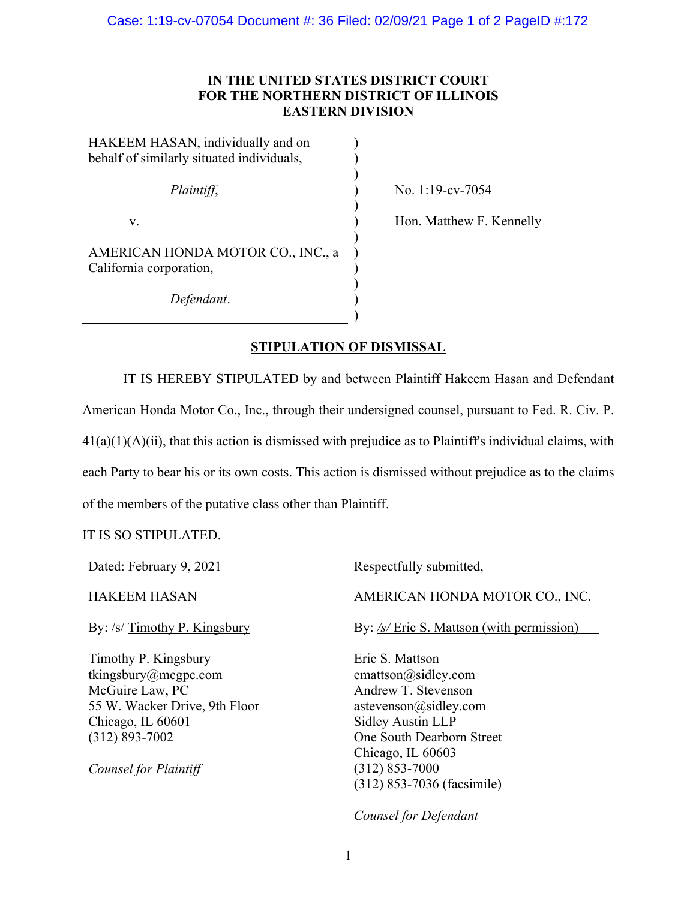## **IN THE UNITED STATES DISTRICT COURT FOR THE NORTHERN DISTRICT OF ILLINOIS EASTERN DIVISION**

| HAKEEM HASAN, individually and on         |  |
|-------------------------------------------|--|
| behalf of similarly situated individuals, |  |
|                                           |  |
| Plaintiff,                                |  |
|                                           |  |
| V.                                        |  |
| AMERICAN HONDA MOTOR CO., INC., a         |  |
| California corporation,                   |  |
|                                           |  |
| Defendant.                                |  |

) No. 1:19-cv-7054

) Hon. Matthew F. Kennelly

## **STIPULATION OF DISMISSAL**

)

IT IS HEREBY STIPULATED by and between Plaintiff Hakeem Hasan and Defendant American Honda Motor Co., Inc., through their undersigned counsel, pursuant to Fed. R. Civ. P.  $41(a)(1)(A)(ii)$ , that this action is dismissed with prejudice as to Plaintiff's individual claims, with each Party to bear his or its own costs. This action is dismissed without prejudice as to the claims of the members of the putative class other than Plaintiff.

## IT IS SO STIPULATED.

| Dated: February 9, 2021                                                                                                                                              | Respectfully submitted,                                                                                                                                                                    |
|----------------------------------------------------------------------------------------------------------------------------------------------------------------------|--------------------------------------------------------------------------------------------------------------------------------------------------------------------------------------------|
| <b>HAKEEM HASAN</b>                                                                                                                                                  | AMERICAN HONDA MOTOR CO., INC.                                                                                                                                                             |
| By: /s/ Timothy P. Kingsbury                                                                                                                                         | By: $\frac{\sqrt{s}}{\sqrt{5}}$ Eric S. Mattson (with permission)                                                                                                                          |
| Timothy P. Kingsbury<br>tkingsbury@mcgpc.com<br>McGuire Law, PC<br>55 W. Wacker Drive, 9th Floor<br>Chicago, IL 60601<br>$(312) 893 - 7002$<br>Counsel for Plaintiff | Eric S. Mattson<br>emattson@sidley.com<br>Andrew T. Stevenson<br>astevenson@sidley.com<br><b>Sidley Austin LLP</b><br>One South Dearborn Street<br>Chicago, IL 60603<br>$(312) 853 - 7000$ |
|                                                                                                                                                                      | (312) 853-7036 (facsimile)                                                                                                                                                                 |
|                                                                                                                                                                      |                                                                                                                                                                                            |

*Counsel for Defendant*